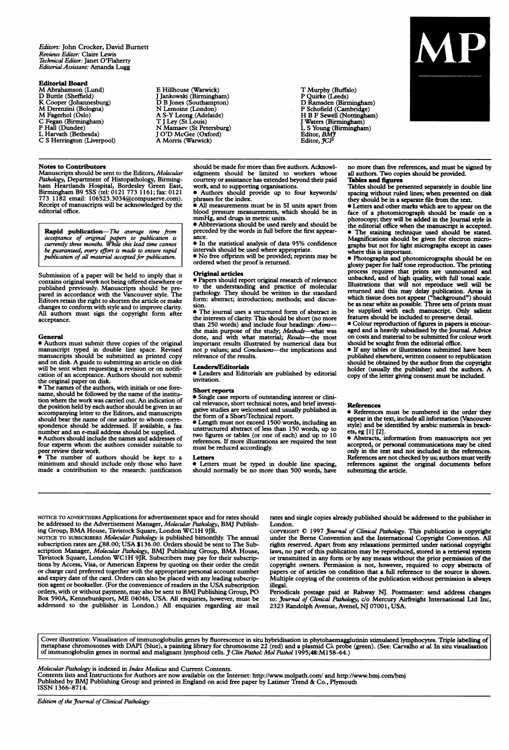Editors: John Crocker, David Bumett Reviews Editor: Claire Lewis Technical Editor: Janet O'Flaherty Editorial Assistant: Amanda Lugg

#### Editorial Board

- M Abrahamson (Lund) D Buttle (Sheffield)
- K Cooper (Johannesburg) M Derenzini (Bologna)
- M Fagerhol (Oslo)
- 
- C Fegan (Birmingham) P Hall (Dundee)
- L Harvath (Bethesda)
- C S Herrington (Liverpool)

#### Notes to Contributors

Manuscripts should be sent to the Editors, Molecular Pathology, Department of Histopathology, Birming-<br>ham Heartlands Hospital, Bordesley Green East,<br>Birmingham B9 5SS (tel: 0121 773 1161; fax: 0121<br>773 1182 email: 106523.3034@compuserve.com). Receipt of manuscripts will be acknowledged by the editorial office.

**Rapid publication**—The average time from<br>acceptance of original papers to publication is<br>currently three months. While this lead time cannot<br>be guaranteed, every effort is made to ensure rapid<br>publication of all material

Submission of a paper will be held to imply that it contains original work not being offered elsewhere or published previously. Manuscripts should be pre-pared in accordance with the Vancouver style. The Editors retain the right to shorten the article or make changes to conform with style and to improve clarity. All authors must sign the copyright form after acceptance.

#### General

• Authors must submit three copies of the original manuscript typed in double line space. Revised<br>manuscripts should be submitted as printed copy<br>and on disk. A guide to submitting an article on disk<br>will be sent when requesting a revision or on notifi-

cation of an acceptance. Authors should not submit<br>the original paper on disk.<br>• The names of the authors, with initials or one fore-<br>name, should be followed by the name of the institu-<br>nowhere the work was carried out. A should bear the name of one author to whom correspondence should be addressed. If available, a fax<br>number and an e-mail address should be supplied.<br>• Authors should include the names and addresses of

four experts whom the authors consider suitable to<br>peer review their work.<br>• The number of authors should be kept to a<br>minimum and should include only those who have made a contribution to the research: justification

E Hillhouse (Warwick) J Jankowski (Birmingham) D B Jones (Southampton) N Lemoine (London) A S-Y Leong (Adelaide) T <sup>J</sup> Ley (St Louis) N Mamaev (St Petersburg) <sup>J</sup> O'D McGee (Oxford) A Morris (Warwick)

T Murphy (Buffalo) P Quirke (Leeds) D Ramsden (Birmingham) P Schofield (Cambridge) H B F Sewell (Nottingham) J Waters (Birmingham)<br>L S Young (Birmingham)<br>Editor, *BM*J<br>Editor, JCP



should be made for more than five authors. Acknowl-edgments should be limited to workers whose courtesy or assistance has extended beyond their paid work, and to supporting organisations. \* Authors should provide up to four keywords/

phrases for the index.

All measurements must be in SI units apart from blood pressure measurements, which should be in mmHg, and drugs in metric units.

\* Abbreviations should be used rarely and should be preceded by the words in full before the first appear-

ance. \* In the statistical analysis of data 95% confidence

intervals should be used where appropriate. \* No free offprints will be provided; reprints may be ordered when the proof is returned.

#### Original articles

\* Papers should report original research of relevance to the understanding and practice of molecular pathology. They should be written in the standard form: abstract; introduction; methods; and discussion.

\* The journal uses a structured form of abstract in the interests of clarity. This should be short (no more than 250 words) and include four headings: *Aims*—<br>the main purpose of the study; *Methods*—what was<br>done, and with what material; *Results*—the most<br>important results illustrated by numerical data but<br>not p values; and *C* relevance of the results.

Leaders/Editorials<br>• Leaders and Editorials are published by editorial invitation.

#### Short reports

\* Single case reports of outstanding interest or clini-cal relevance, short technical notes, and brief investi-

gative studies are welcomed and usually published in<br>the form of a Short/Technical report.<br>• Length must not exceed 1500 words, including an<br>unstructured abstract of less than 150 words, up to<br>two figures or tables (or one must be reduced accordingly.

Letters<br>• Letters must be typed in double line spacing,<br>should normally be no more than 500 words, have

no more than five references, and must be signed by all authors. Two copies should be provided. Tables and figures

Tables should be presented separately in double line spacing without ruled lines; when presented on disk they should be in a separate file from the text.

\* Letters and other marks which are to appear on the face of a photomicrograph should be made on a photocopy; they will be added in the Journal style in the editorial office when the manuscript is accepted. \* The staining technique used should be stated. Magnifications should be given for electron micrographs but not for light micrographs except in cases

where this is important. \* Photographs and photomicrographs should be on glossy paper for half tone reproduction. The printing process requires that prints are unmounted and unbacked, and of high quality, with full tonal scale. Illustrations that will not reproduce well will be<br>returned and this may delay publication. Areas in<br>which tissue does not appear ("background") should<br>be as near white as possible. Three sets of prints must<br>be supplied wi

features should be included to preserve detail. \* Colour reproduction of figures in papers is encour-aged and is heavily subsidised by the Journal. Advice on costs and material to be submitted for colour work should be sought from the editorial office.

 $\bullet$  If any tables or illustrations submitted have been published elsewhere, written consent to republication should be obtained by the author from the copyright holder (usually the publisher) and the authors. A copy of the letter giving consent must be included.

#### References

\* References must be numbered in the order they appear in the text, include all information (Vancouver style) and be identified by arabic numerals in brack-

ets, eg [1] [2]. \* Abstracts, information from manuscripts not yet accepted, or personal communications may be cited only in the text and not included in the references. References are not checked by us; authors must verify references against the original documents before submitting the article.

NOTICE TO ADVERTISERS Applications for advertisement space and for rates should<br>be addressed to the Advertisement Manager, *Molecular Patholog*y, BMJ Publish-<br>ing Group, BMA House, Tavistock Square, London WC1H 9JR.

NOTICE TO SUBSCRIBERS Molecular Pathology is published bimonthly. The annual<br>subscription rates are *£88.00*; USA \$136.00. Orders should be sent to The Sub-<br>scription Manager, Molecular Pathology, BMJ Publishing Group, BMA tions by Access, Visa, or American Express by quoting on their order the credit or charge card preferred together with the appropriate personal account number and expiry date of the card. Orders can also be placed with any leading subscription agent or bookseller. (For the convenience of readers in the USA subscription orders, with or without payment, may also be sent to BMJ Publishing Group, PO Box 590A, Kennebunkport, ME 04046, USA. All enquiries, however, must be addressed to the publisher in London.) All enquiries regarding air mail

rates and single copies already published should be addressed to the publisher in London.

COPYRIGHT © 1997 *Journal of Clinical Pathology*. This publication is copyright under the Berne Convention and the International Copyright Convention. All rights reserved. Apart from any relaxations permitted under national copyright laws, no part of this publication may be reproduced, stored in a retrieval system or transmitted in any form or by any means without the prior permission of the copyright owners. Permission is not, however, required to copy abstracts of papers or of articles on condition that a full reference to the source is shown. Multiple copying of the contents of the publication without permission is always

uiegai.<br>Periodicals postage paid at Rahway NJ. Postmaster: send address changes<br>to: Journal of Clinical Pathology, c/o Mercury Airfreight International Ltd Inc,<br>2323 Randolph Avenue, Avenel, NJ 07001, USA.

Cover illustration: Visualisation of immunoglobulin genes by fluorescence in situ hybridisation in phytohaemagglutinin stimulated lymphocytes. Triple labelling of<br>metaphase chromosomes with DAPI (blue), a painting library

#### Molecular Pathology is indexed in Index Medicus and Current Contents.

Contents lists and Instructions for Authors are now available on the Internet: http://www.molpath.com/ and http://www.bmj.com/bmj<br>Published by BMJ Publishing Group and printed in England on acid free paper by Latimer Trend